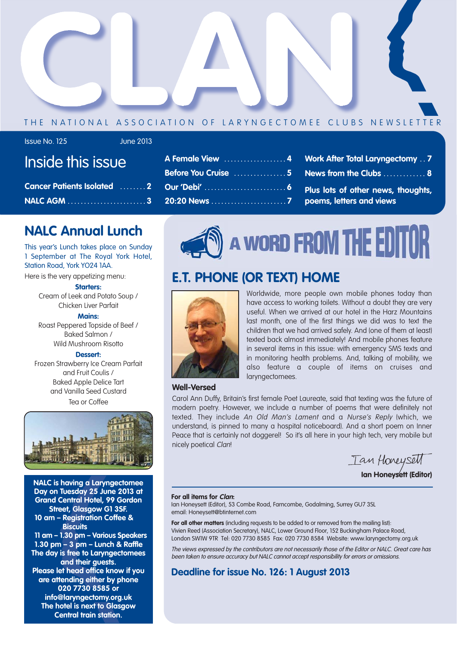

#### THE NATIONAL ASSOCIATION OF LARYNGECTOMEE CLUBS NEWSLETTER

#### Issue No. 125 June 2013

## Inside this issue

| <b>Cancer Patients Isolated 2</b> |  |
|-----------------------------------|--|
|                                   |  |

### **NALC Annual Lunch**

This year's Lunch takes place on Sunday 1 September at The Royal York Hotel, Station Road, York YO24 1AA.

Here is the very appetizing menu:

#### **Starters:**

Cream of Leek and Potato Soup / Chicken Liver Parfait

#### **Mains:**

Roast Peppered Topside of Beef / Baked Salmon / Wild Mushroom Risotto

#### **Dessert:**

Frozen Strawberry Ice Cream Parfait and Fruit Coulis / Baked Apple Delice Tart and Vanilla Seed Custard Tea or Coffee



**NALC is having a Laryngectomee Day on Tuesday 25 June 2013 at Grand Central Hotel, 99 Gordon Street, Glasgow G1 3SF. 10 am – Registration Coffee & Biscuits 11 am – 1.30 pm – Various Speakers 1.30 pm – 3 pm – Lunch & Raffle The day is free to Laryngectomees and their guests. Please let head office know if you are attending either by phone 020 7730 8585 or info@laryngectomy.org.uk**

**The hotel is next to Glasgow Central train station.**

| Before You Cruise 5 News from the Clubs  8 |  |
|--------------------------------------------|--|
|                                            |  |
|                                            |  |



### **E.T. PHONE (OR TEXT) HOME**



Worldwide, more people own mobile phones today than have access to working toilets. Without a doubt they are very useful. When we arrived at our hotel in the Harz Mountains last month, one of the first things we did was to text the children that we had arrived safely. And (one of them at least) texted back almost immediately! And mobile phones feature in several items in this issue: with emergency SMS texts and in monitoring health problems. And, talking of mobility, we also feature a couple of items on cruises and laryngectomees.

#### **Well-Versed**

Carol Ann Duffy, Britain's first female Poet Laureate, said that texting was the future of modern poetry. However, we include a number of poems that were definitely not texted. They include An Old Man's Lament and a Nurse's Reply (which, we understand, is pinned to many a hospital noticeboard). And a short poem on Inner Peace that is certainly not doggerel! So it's all here in your high tech, very mobile but nicely poetical Clan!

Ian Honeysett

**Ian Honeysett (Editor)**

#### **For all items for Clan:**

Ian Honeysett (Editor), 53 Combe Road, Farncombe, Godalming, Surrey GU7 3SL email: Honeysett@btinternet.com

For all other matters (including requests to be added to or removed from the mailing list): Vivien Reed (Association Secretary), NALC, Lower Ground Floor, 152 Buckingham Palace Road, London SW1W 9TR Tel: 020 7730 8585 Fax: 020 7730 8584 Website: www.laryngectomy.org.uk

The views expressed by the contributors are not necessarily those of the Editor or NALC. Great care has been taken to ensure accuracy but NALC cannot accept responsibility for errors or omissions.

#### **Deadline for issue No. 126: 1 August 2013**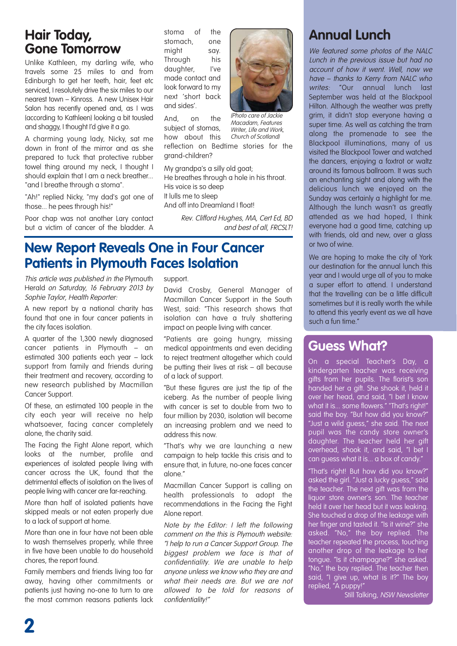### **Hair Today, Gone Tomorrow**

Unlike Kathleen, my darling wife, who travels some 25 miles to and from Edinburgh to get her teeth, hair, feet etc serviced, I resolutely drive the six miles to our nearest town – Kinross. A new Unisex Hair Salon has recently opened and, as I was (according to Kathleen) looking a bit tousled and shaggy, I thought I'd give it a go.

A charming young lady, Nicky, sat me down in front of the mirror and as she prepared to tuck that protective rubber towel thing around my neck, I thought I should explain that I am a neck breather... "and I breathe through a stoma".

"Ah!" replied Nicky, "my dad's got one of those... he pees through his!"

Poor chap was not another Lary contact but a victim of cancer of the bladder. A

stoma of the stomach, one might say. Through his daughter, l've made contact and look forward to my next 'short back and sides'.

And, on the subject of stomas, how about this reflection on Bedtime stories for the

grand-children?

(Photo care of Jackie Macadam, Features Writer, Life and Work, Church of Scotland)

My grandpa's a silly old goat; He breathes through a hole in his throat. His voice is so deep It lulls me to sleep And off into Dreamland I float!

> Rev. Clifford Hughes, MA, Cert Ed, BD and best of all, FRCSLT!

### **New Report Reveals One in Four Cancer Patients in Plymouth Faces Isolation**

This article was published in the Plymouth Herald on Saturday, 16 February 2013 by Sophie Taylor, Health Reporter:

A new report by a national charity has found that one in four cancer patients in the city faces isolation.

A quarter of the 1,300 newly diagnosed cancer patients in Plymouth – an estimated 300 patients each year – lack support from family and friends during their treatment and recovery, according to new research published by Macmillan Cancer Support.

Of these, an estimated 100 people in the city each year will receive no help whatsoever, facing cancer completely alone, the charity said.

The Facing the Fight Alone report, which looks at the number, profile and experiences of isolated people living with cancer across the UK, found that the detrimental effects of isolation on the lives of people living with cancer are far-reaching.

More than half of isolated patients have skipped meals or not eaten properly due to a lack of support at home.

More than one in four have not been able to wash themselves properly, while three in five have been unable to do household chores, the report found.

Family members and friends living too far away, having other commitments or patients just having no-one to turn to are the most common reasons patients lack support.

David Crosby, General Manager of Macmillan Cancer Support in the South West, said: "This research shows that isolation can have a truly shattering impact on people living with cancer.

"Patients are going hungry, missing medical appointments and even deciding to reject treatment altogether which could be putting their lives at risk – all because of a lack of support.

"But these figures are just the tip of the iceberg. As the number of people living with cancer is set to double from two to four million by 2030, isolation will become an increasing problem and we need to address this now.

"That's why we are launching a new campaign to help tackle this crisis and to ensure that, in future, no-one faces cancer alone."

Macmillan Cancer Support is calling on health professionals to adopt the recommendations in the Facing the Fight Alone report.

Note by the Editor: I left the following comment on the this is Plymouth website: "I help to run a Cancer Support Group. The biggest problem we face is that of confidentiality. We are unable to help anyone unless we know who they are and what their needs are. But we are not allowed to be told for reasons of confidentiality!"

### **Annual Lunch**

We featured some photos of the NALC Lunch in the previous issue but had no account of how it went. Well, now we have – thanks to Kerry from NALC who writes: "Our annual lunch last September was held at the Blackpool Hilton. Although the weather was pretty grim, it didn't stop everyone having a super time. As well as catching the tram along the promenade to see the Blackpool illuminations, many of us visited the Blackpool Tower and watched the dancers, enjoying a foxtrot or waltz around its famous ballroom. It was such an enchanting sight and along with the delicious lunch we enjoyed on the Sunday was certainly a highlight for me. Although the lunch wasn't as greatly attended as we had hoped, I think everyone had a good time, catching up with friends, old and new, over a glass or two of wine.

We are hoping to make the city of York our destination for the annual lunch this year and I would urge all of you to make a super effort to attend. I understand that the travelling can be a little difficult sometimes but it is really worth the while to attend this yearly event as we all have such a fun time."

### **Guess What?**

On a special Teacher's Day, a kindergarten teacher was receiving gifts from her pupils. The florist's son handed her a gift. She shook it, held it over her head, and said, "I bet I know what it is... some flowers." "That's right!" said the boy. "But how did you know?" "Just a wild guess," she said. The next pupil was the candy store owner's daughter. The teacher held her gift overhead, shook it, and said, "I bet I can guess what it is... a box of candy."

"That's right! But how did you know?" asked the girl. "Just a lucky guess," said the teacher. The next gift was from the liquor store owner's son. The teacher held it over her head but it was leaking. She touched a drop of the leakage with her finger and tasted it. "Is it wine?" she asked. "No," the boy replied. The teacher repeated the process, touching another drop of the leakage to her tongue. "Is it champagne?" she asked. "No," the boy replied. The teacher then said, "I give up, what is it?" The boy replied, "A puppy!"

Still Talking, NSW Newsletter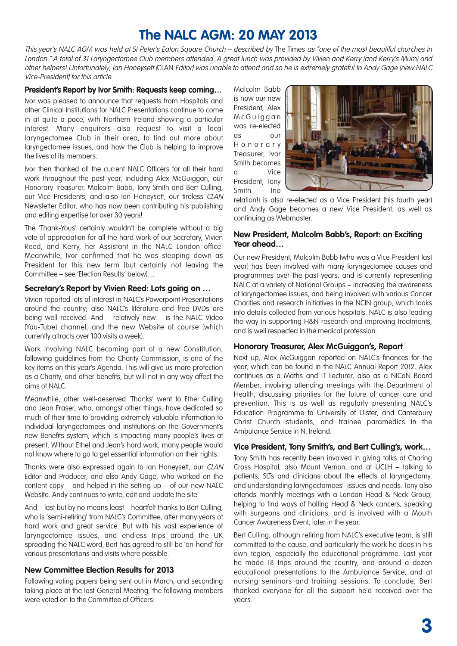### **The NALC AGM: 20 MAY 2013**

This year's NALC AGM was held at St Peter's Eaton Sauare Church – described by The Times as "one of the most beautiful churches in London." A total of 31 Laryngectomee Club members attended. A great lunch was provided by Vivien and Kerry (and Kerry's Mum) and other helpers! Unfortunately, Ian Honeysett (CLAN Editor) was unable to attend and so he is extremely grateful to Andy Gage (new NALC Vice-President) for this article.

#### **President's Report by Ivor Smith: Requests keep coming…**

Ivor was pleased to announce that requests from Hospitals and other Clinical Institutions for NALC Presentations continue to come in at quite a pace, with Northern Ireland showing a particular interest. Many enquirers also request to visit a local laryngectomee Club in their area, to find out more about laryngectomee issues, and how the Club is helping to improve the lives of its members.

Ivor then thanked all the current NALC Officers for all their hard work throughout the past year, including Alex McGuiggan, our Honorary Treasurer, Malcolm Babb, Tony Smith and Bert Culling, our Vice Presidents, and also Ian Honeysett, our tireless CLAN Newsletter Editor, who has now been contributing his publishing and editing expertise for over 30 years!

The 'Thank-Yous' certainly wouldn't be complete without a big vote of appreciation for all the hard work of our Secretary, Vivien Reed, and Kerry, her Assistant in the NALC London office. Meanwhile, Ivor confirmed that he was stepping down as President for this new term (but certainly not leaving the Committee – see 'Election Results' below)…

#### **Secretary's Report by Vivien Reed: Lots going on …**

Vivien reported lots of interest in NALC's Powerpoint Presentations around the country; also NALC's literature and free DVDs are being well received. And – relatively new – is the NALC Video (You-Tube) channel, and the new Website of course (which currently attracts over 100 visits a week).

Work involving NALC becoming part of a new Constitution, following guidelines from the Charity Commission, is one of the key items on this year's Agenda. This will give us more protection as a Charity, and other benefits, but will not in any way affect the aims of NALC.

Meanwhile, other well-deserved 'Thanks' went to Ethel Culling and Jean Fraser, who, amongst other things, have dedicated so much of their time to providing extremely valuable information to individual laryngectomees and institutions on the Government's new Benefits system, which is impacting many people's lives at present. Without Ethel and Jean's hard work, many people would not know where to go to get essential information on their rights.

Thanks were also expressed again to Ian Honeysett, our CLAN Editor and Producer, and also Andy Gage, who worked on the content copy – and helped in the setting  $up$  – of our new NALC Website. Andy continues to write, edit and update the site.

And – last but by no means least – heartfelt thanks to Bert Culling, who is 'semi-retiring' from NALC's Committee, after many years of hard work and great service. But with his vast experience of laryngectomee issues, and endless trips around the UK spreading the NALC word, Bert has agreed to still be 'on-hand' for various presentations and visits where possible.

#### **New Committee Election Results for 2013**

Following voting papers being sent out in March, and seconding taking place at the last General Meeting, the following members were voted on to the Committee of Officers:

Malcolm Babb is now our new President, Alex McGuiggan was re-elected as our Honorary Treasurer, Ivor Smith becomes a Vice President, Tony Smith (no



relation!) is also re-elected as a Vice President (his fourth year) and Andy Gage becomes a new Vice President, as well as continuing as Webmaster.

#### **New President, Malcolm Babb's, Report: an Exciting Year ahead…**

Our new President, Malcolm Babb (who was a Vice President last year) has been involved with many laryngectomee causes and programmes over the past years, and is currently representing NALC at a variety of National Groups – increasing the awareness of laryngectomee issues, and being involved with various Cancer Charities and research initiatives in the NCIN group, which looks into details collected from various hospitals. NALC is also leading the way in supporting H&N research and improving treatments, and is well respected in the medical profession.

#### **Honorary Treasurer, Alex McGuiggan's, Report**

Next up, Alex McGuiggan reported on NALC's finances for the year, which can be found in the NALC Annual Report 2012. Alex continues as a Maths and IT Lecturer, also as a NICaN Board Member, involving attending meetings with the Department of Health, discussing priorities for the future of cancer care and prevention. This is as well as regularly presenting NALC's Education Programme to University of Ulster, and Canterbury Christ Church students, and trainee paramedics in the Ambulance Service in N. Ireland.

#### **Vice President, Tony Smith's, and Bert Culling's, work…**

Tony Smith has recently been involved in giving talks at Charing Cross Hospital, also Mount Vernon, and at UCLH – talking to patients, SLTs and clinicians about the effects of laryngectomy, and understanding laryngectomees' issues and needs. Tony also attends monthly meetings with a London Head & Neck Group, helping to find ways of halting Head & Neck cancers, speaking with surgeons and clinicians, and is involved with a Mouth Cancer Awareness Event, later in the year.

Bert Culling, although retiring from NALC's executive team, is still committed to the cause, and particularly the work he does in his own region, especially the educational programme. Last year he made 18 trips around the country, and around a dozen educational presentations to the Ambulance Service, and at nursing seminars and training sessions. To conclude, Bert thanked everyone for all the support he'd received over the years.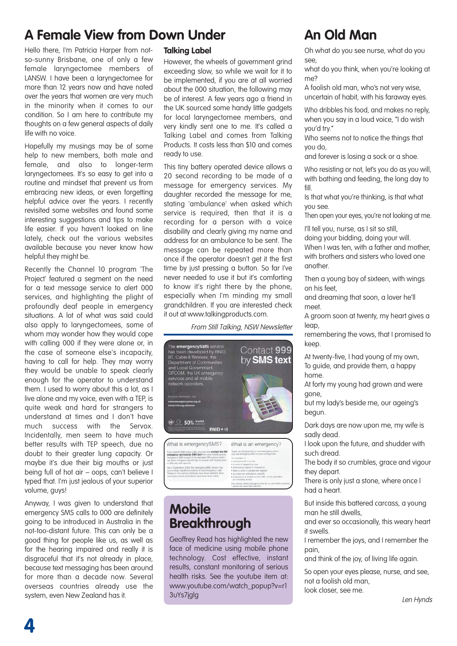### **A Female View from Down Under An Old Man**

Hello there, I'm Patricia Harper from notso-sunny Brisbane, one of only a few female laryngectomee members of LANSW. I have been a laryngectomee for more than 12 years now and have noted over the years that women are very much in the minority when it comes to our condition. So I am here to contribute my thoughts on a few general aspects of daily life with no voice.

Hopefully my musings may be of some help to new members, both male and female, and also to longer-term laryngectomees. It's so easy to get into a routine and mindset that prevent us from embracing new ideas, or even forgetting helpful advice over the years. I recently revisited some websites and found some interesting suggestions and tips to make life easier. If you haven't looked on line lately, check out the various websites available because you never know how helpful they might be.

Recently the Channel 10 program 'The Project' featured a segment on the need for a text message service to alert 000 services, and highlighting the plight of profoundly deaf people in emergency situations. A lot of what was said could also apply to laryngectomees, some of whom may wonder how they would cope with calling 000 if they were alone or, in the case of someone else's incapacity, having to call for help. They may worry they would be unable to speak clearly enough for the operator to understand them. I used to worry about this a lot, as I live alone and my voice, even with a TEP, is quite weak and hard for strangers to understand at times and I don't have much success with the Servox. Incidentally, men seem to have much better results with TEP speech, due no doubt to their greater lung capacity. Or maybe it's due their big mouths or just being full of hot air – oops, can't believe I typed that. I'm just jealous of your superior volume, guys!

Anyway, I was given to understand that emergency SMS calls to 000 are definitely going to be introduced in Australia in the not-too-distant future. This can only be a good thing for people like us, as well as for the hearing impaired and really it is disgraceful that it's not already in place, because text messaging has been around for more than a decade now. Several overseas countries already use the system, even New Zealand has it.

#### **Talking Label**

However, the wheels of government grind exceeding slow, so while we wait for it to be implemented, if you are at all worried about the 000 situation, the following may be of interest. A few years ago a friend in the UK sourced some handy little gadgets for local laryngectomee members, and very kindly sent one to me. It's called a Talking Label and comes from Talking Products. It costs less than \$10 and comes ready to use.

This tiny battery operated device allows a 20 second recording to be made of a message for emergency services. My daughter recorded the message for me, stating 'ambulance' when asked which service is required, then that it is a recording for a person with a voice disability and clearly giving my name and address for an ambulance to be sent. The message can be repeated more than once if the operator doesn't get it the first time by just pressing a button. So far I've never needed to use it but it's comforting to know it's right there by the phone, especially when I'm minding my small grandchildren. If you are interested check it out at www.talkingproducts.com.

#### From Still Talking, NSW Newsletter



What is emergencySMS? make voice calls, you can now contact the<br>services by SMS text from your mobile ph

What is an emergency? Please do not send test or non-emergency to ue emergencystes<br>umple, it:<br>cone's life is at risk

### **Mobile Breakthrough**

Geoffrey Read has highlighted the new face of medicine using mobile phone technology. Cost effective, instant results, constant monitoring of serious health risks. See the youtube item at: www.youtube.com/watch\_popup?v=r1 3uYs7jglg

Oh what do you see nurse, what do you see,

what do you think, when you're looking at me?

A foolish old man, who's not very wise, uncertain of habit, with his faraway eyes.

Who dribbles his food, and makes no reply, when you say in a loud voice, "I do wish you'd try."

Who seems not to notice the things that you do,

and forever is losing a sock or a shoe.

Who resisting or not, let's you do as you will, with bathing and feeding, the long day to fill.

Is that what you're thinking, is that what you see.

Then open your eyes, you're not looking at me.

I'll tell you, nurse, as I sit so still,

doing your bidding, doing your will. When I was ten, with a father and mother, with brothers and sisters who loved one another.

Then a young boy of sixteen, with wings on his feet,

and dreaming that soon, a lover he'll meet.

A groom soon at twenty, my heart gives a leap,

remembering the vows, that I promised to keep.

At twenty-five, I had young of my own, To guide, and provide them, a happy home.

At forty my young had grown and were gone,

but my lady's beside me, our ageing's begun.

Dark days are now upon me, my wife is sadly dead.

I look upon the future, and shudder with such dread.

The body it so crumbles, grace and vigour they depart.

There is only just a stone, where once I had a heart.

But inside this battered carcass, a young man he still dwells,

and ever so occasionally, this weary heart it swells.

I remember the joys, and I remember the pain,

and think of the joy, of living life again.

So open your eyes please, nurse, and see, not a foolish old man, look closer, see me.

Len Hynds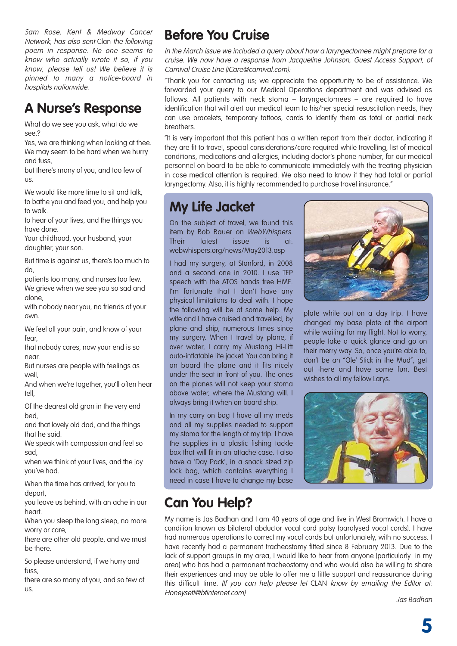Sam Rose, Kent & Medway Cancer Network, has also sent Clan the following poem in response. No one seems to know who actually wrote it so, if you know, please tell us! We believe it is pinned to many a notice-board in hospitals nationwide.

### **A Nurse's Response**

What do we see you ask, what do we see.?

Yes, we are thinking when looking at thee. We may seem to be hard when we hurry and fuss,

but there's many of you, and too few of us.

We would like more time to sit and talk to bathe you and feed you, and help you to walk.

to hear of your lives, and the things you have done.

Your childhood, your husband, your daughter, your son.

But time is against us, there's too much to do,

patients too many, and nurses too few. We grieve when we see you so sad and alone,

with nobody near you, no friends of your own.

We feel all your pain, and know of your fear,

that nobody cares, now your end is so near.

But nurses are people with feelings as well,

And when we're together, you'll often hear tell,

Of the dearest old gran in the very end bed,

and that lovely old dad, and the things that he said.

We speak with compassion and feel so sad,

when we think of your lives, and the joy you've had.

When the time has arrived, for you to depart,

you leave us behind, with an ache in our heart.

When you sleep the long sleep, no more worry or care,

there are other old people, and we must be there.

So please understand, if we hurry and fuss,

there are so many of you, and so few of us.

### **Before You Cruise**

In the March issue we included a query about how a laryngectomee might prepare for a cruise. We now have a response from Jacqueline Johnson, Guest Access Support, of Carnival Cruise Line (iCare@carnival.com):

"Thank you for contacting us; we appreciate the opportunity to be of assistance. We forwarded your query to our Medical Operations department and was advised as follows. All patients with neck stoma – laryngectomees – are required to have identification that will alert our medical team to his/her special resuscitation needs, they can use bracelets, temporary tattoos, cards to identify them as total or partial neck breathers.

"It is very important that this patient has a written report from their doctor, indicating if they are fit to travel, special considerations/care required while travelling, list of medical conditions, medications and allergies, including doctor's phone number, for our medical personnel on board to be able to communicate immediately with the treating physician in case medical attention is required. We also need to know if they had total or partial laryngectomy. Also, it is highly recommended to purchase travel insurance."

### **My Life Jacket**

On the subject of travel, we found this item by Bob Bauer on WebWhispers. Their latest issue is at: webwhispers.org/news/May2013.asp

I had my surgery, at Stanford, in 2008 and a second one in 2010. I use TEP speech with the ATOS hands free HME. I'm fortunate that I don't have any physical limitations to deal with. I hope the following will be of some help. My wife and I have cruised and travelled, by plane and ship, numerous times since my surgery. When I travel by plane, if over water, I carry my Mustang Hi-Lift auto-inflatable life jacket. You can bring it on board the plane and it fits nicely under the seat in front of you. The ones on the planes will not keep your stoma above water, where the Mustang will. I always bring it when on board ship.

In my carry on bag I have all my meds and all my supplies needed to support my stoma for the length of my trip. I have the supplies in a plastic fishing tackle box that will fit in an attache case. I also have a 'Day Pack', in a snack sized zip lock bag, which contains everything I need in case I have to change my base



plate while out on a day trip. I have changed my base plate at the airport while waiting for my flight. Not to worry, people take a quick glance and go on their merry way. So, once you're able to, don't be an "Ole' Stick in the Mud", get out there and have some fun. Best wishes to all my fellow Larys.



### **Can You Help?**

My name is Jas Badhan and I am 40 years of age and live in West Bromwich. I have a condition known as bilateral abductor vocal cord palsy (paralysed vocal cords). I have had numerous operations to correct my vocal cords but unfortunately, with no success. I have recently had a permanent tracheostomy fitted since 8 February 2013. Due to the lack of support groups in my area, I would like to hear from anyone (particularly in my area) who has had a permanent tracheostomy and who would also be willing to share their experiences and may be able to offer me a little support and reassurance during this difficult time. (If you can help please let CLAN know by emailing the Editor at: Honeysett@btinternet.com) Jas Badhan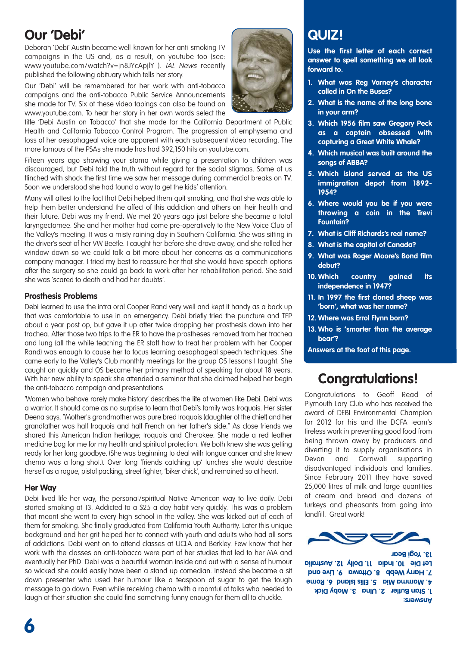### **Our 'Debi'**

Deborah 'Debi' Austin became well-known for her anti-smoking TV campaigns in the US and, as a result, on youtube too (see: www.youtube.com/watch?v=jn8JYcApjlY ). IAL News recently published the following obituary which tells her story.

Our 'Debi' will be remembered for her work with anti-tobacco campaigns and the anti-tobacco Public Service Announcements she made for TV. Six of these video tapings can also be found on www.youtube.com. To hear her story in her own words select the

title 'Debi Austin on Tobacco' that she made for the California Department of Public Health and California Tobacco Control Program. The progression of emphysema and loss of her oesophageal voice are apparent with each subsequent video recording. The more famous of the PSAs she made has had 392,150 hits on youtube.com.

Fifteen years ago showing your stoma while giving a presentation to children was discouraged, but Debi told the truth without regard for the social stigmas. Some of us flinched with shock the first time we saw her message during commercial breaks on TV. Soon we understood she had found a way to get the kids' attention.

Many will attest to the fact that Debi helped them quit smoking, and that she was able to help them better understand the affect of this addiction and others on their health and their future. Debi was my friend. We met 20 years ago just before she became a total laryngectomee. She and her mother had come pre-operatively to the New Voice Club of the Valley's meeting. It was a misty raining day in Southern California. She was sitting in the driver's seat of her VW Beetle. I caught her before she drove away, and she rolled her window down so we could talk a bit more about her concerns as a communications company manager. I tried my best to reassure her that she would have speech options after the surgery so she could go back to work after her rehabilitation period. She said she was 'scared to death and had her doubts'.

#### **Prosthesis Problems**

Debi learned to use the intra oral Cooper Rand very well and kept it handy as a back up that was comfortable to use in an emergency. Debi briefly tried the puncture and TEP about a year post op, but gave it up after twice dropping her prosthesis down into her trachea. After those two trips to the ER to have the prostheses removed from her trachea and lung (all the while teaching the ER staff how to treat her problem with her Cooper Rand) was enough to cause her to focus learning oesophageal speech techniques. She came early to the Valley's Club monthly meetings for the group OS lessons I taught. She caught on quickly and OS became her primary method of speaking for about 18 years. With her new ability to speak she attended a seminar that she claimed helped her begin the anti-tobacco campaign and presentations.

'Women who behave rarely make history' describes the life of women like Debi. Debi was a warrior. It should come as no surprise to learn that Debi's family was Iroquois. Her sister Deena says, "Mother's grandmother was pure bred Iroquois (daughter of the chief) and her grandfather was half Iroquois and half French on her father's side." As close friends we shared this American Indian heritage; Iroquois and Cherokee. She made a red leather medicine bag for me for my health and spiritual protection. We both knew she was getting ready for her long goodbye. (She was beginning to deal with tongue cancer and she knew chemo was a long shot.). Over long 'friends catching up' lunches she would describe herself as a rogue, pistol packing, street fighter, 'biker chick', and remained so at heart.

#### **Her Way**

Debi lived life her way, the personal/spiritual Native American way to live daily. Debi started smoking at 13. Addicted to a \$25 a day habit very quickly. This was a problem that meant she went to every high school in the valley. She was kicked out of each of them for smoking. She finally graduated from California Youth Authority. Later this unique background and her grit helped her to connect with youth and adults who had all sorts of addictions. Debi went on to attend classes at UCLA and Berkley. Few know that her work with the classes on anti-tobacco were part of her studies that led to her MA and eventually her PhD. Debi was a beautiful woman inside and out with a sense of humour so wicked she could easily have been a stand up comedian. Instead she became a sit down presenter who used her humour like a teaspoon of sugar to get the tough message to go down. Even while receiving chemo with a roomful of folks who needed to laugh at their situation she could find something funny enough for them all to chuckle.



### **QUIZ!**

**Use the first letter of each correct answer to spell something we all look forward to.**

- **1. What was Reg Varney's character called in On the Buses?**
- **2. What is the name of the long bone in your arm?**
- **3. Which 1956 film saw Gregory Peck as a captain obsessed with capturing a Great White Whale?**
- **4. Which musical was built around the songs of ABBA?**
- **5. Which island served as the US immigration depot from 1892- 1954?**
- **6. Where would you be if you were throwing a coin in the Trevi Fountain?**
- **7. What is Cliff Richards's real name?**
- **8. What is the capital of Canada?**
- **9. What was Roger Moore's Bond film debut?**
- **10. Which country gained its independence in 1947?**
- **11. In 1997 the first cloned sheep was 'born', what was her name?**
- **12. Where was Errol Flynn born?**
- **13. Who is 'smarter than the average bear'?**
- **Answers at the foot of this page.**

### **Congratulations!**

Congratulations to Geoff Read of Plymouth Lary Club who has received the award of DEBI Environmental Champion for 2012 for his and the DCFA team's tireless work in preventing good food from being thrown away by producers and diverting it to supply organisations in Devon and Cornwall supporting disadvantaged individuals and families. Since February 2011 they have saved 25,000 litres of milk and large quantities of cream and bread and dozens of turkeys and pheasants from going into landfill. Great work!



**Answers: 1. Stan Butler 2. Ulna 3. Moby Dick 4. Mamma Mia 5. Ellis Island 6. Rome 7. Harry Webb 8. Ottawa 9. Live and Let Die 10. India 11. Dolly 12. Australia 13. Yogi Bear**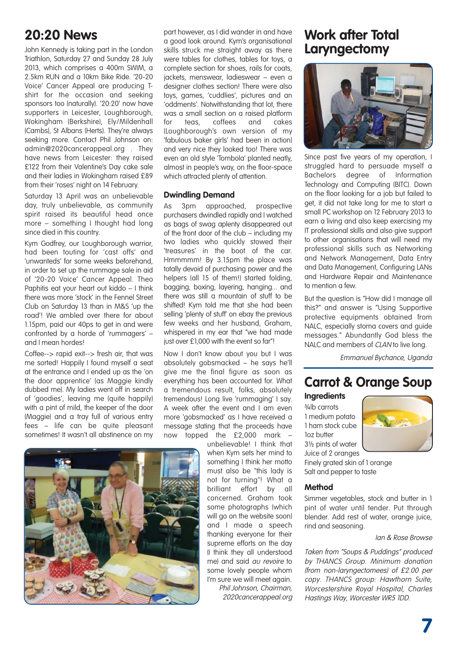### **20:20 News**

John Kennedy is taking part in the London Triathlon, Saturday 27 and Sunday 28 July 2013, which comprises a 400m SWIM, a 2.5km RUN and a 10km Bike Ride. '20-20 Voice' Cancer Appeal are producing Tshirt for the occasion and seeking sponsors too (naturally). '20:20' now have supporters in Leicester, Loughborough, Wokingham (Berkshire), Ely/Mildenhall (Cambs), St Albans (Herts). They're always seeking more. Contact Phil Johnson on: admin@2020cancerappeal.org . They have news from Leicester: they raised £122 from their Valentine's Day cake sale and their ladies in Wokingham raised £89 from their 'roses' night on 14 February.

Saturday 13 April was an unbelievable day, truly unbelievable, as community spirit raised its beautiful head once more – something I thought had long since died in this country.

Kym Godfrey, our Loughborough warrior, had been touting for 'cast offs' and 'unwanteds' for some weeks beforehand, in order to set up the rummage sale in aid of '20-20 Voice' Cancer Appeal. Theo Paphitis eat your heart out kiddo – I think there was more 'stock' in the Fennel Street Club on Saturday 13 than in M&S 'up the road'! We ambled over there for about 1.15pm, paid our 40ps to get in and were confronted by a horde of 'rummagers' – and I mean hordes!

Coffee--> rapid exit--> fresh air, that was me sorted! Happily I found myself a seat at the entrance and I ended up as the 'on the door apprentice' (as Maggie kindly dubbed me). My ladies went off in search of 'goodies', leaving me (quite happily) with a pint of mild, the keeper of the door (Maggie) and a tray full of various entry fees – life can be quite pleasant sometimes! It wasn't all abstinence on my

part however, as I did wander in and have a good look around. Kym's organisational skills struck me straight away as there were tables for clothes, tables for toys, a complete section for shoes, rails for coats, jackets, menswear, ladieswear – even a designer clothes section! There were also toys, games, 'cuddlies', pictures and an 'oddments'. Notwithstanding that lot, there was a small section on a raised platform for teas, coffees and cakes (Loughborough's own version of my 'fabulous baker girls' had been in action) and very nice they looked too! There was even an old style 'Tombola' planted neatly, almost in people's way, on the floor-space which attracted plenty of attention.

#### **Dwindling Demand**

As 3pm approached, prospective purchasers dwindled rapidly and I watched as bags of swag aplenty disappeared out of the front door of the club – including my two ladies who quickly stowed their 'treasures' in the boot of the car. Hmmmmm! By 3.15pm the place was totally devoid of purchasing power and the helpers (all 15 of them!) started folding, bagging, boxing, layering, hanging... and there was still a mountain of stuff to be shifted! Kym told me that she had been selling 'plenty of stuff' on ebay the previous few weeks and her husband, Graham, whispered in my ear that "we had made just over £1,000 with the event so far"!

Now I don't know about you but I was absolutely gobsmacked – he says he'll give me the final figure as soon as everything has been accounted for. What a tremendous result, folks, absolutely tremendous! Long live 'rummaging' I say. A week after the event and I am even more 'gobsmacked' as I have received a message stating that the proceeds have now topped the £2,000 mark –

> unbelievable! I think that when Kym sets her mind to something I think her motto must also be "this lady is not for turning"! What a brilliant effort by all concerned. Graham took some photographs (which will go on the website soon) and I made a speech thanking everyone for their supreme efforts on the day (I think they all understood me) and said au revoire to some lovely people whom I'm sure we will meet again. Phil Johnson, Chairman, 2020cancerappeal.org

### **Work after Total Laryngectomy**



Since past five years of my operation, I struggled hard to persuade myself a Bachelors degree of Information Technology and Computing (BITC). Down on the floor looking for a job but failed to get, it did not take long for me to start a small PC workshop on 12 February 2013 to earn a living and also keep exercising my IT professional skills and also give support to other organisations that will need my professional skills such as Networking and Network Management, Data Entry and Data Management, Configuring LANs and Hardware Repair and Maintenance to mention a few.

But the question is "How did I manage all this?" and answer is "Using Supportive protective equipments obtained from NALC, especially stoma covers and guide messages." Abundantly God bless the NALC and members of CLAN to live long.

Emmanuel Bychance, Uganda

### **Carrot & Orange Soup**

#### **Ingredients**

¾lb carrots 1 medium potato 1 ham stock cube 1oz butter 3½ pints of water Juice of 2 oranges



Finely grated skin of 1 orange Salt and pepper to taste

#### **Method**

Simmer vegetables, stock and butter in 1 pint of water until tender. Put through blender. Add rest of water, orange juice, rind and seasoning.

#### Ian & Rose Browse

Taken from "Soups & Puddings" produced by THANCS Group. Minimum donation (from non-laryngectomees) of £2.00 per copy. THANCS group: Hawthorn Suite, Worcestershire Royal Hospital, Charles Hastings Way, Worcester WR5 1DD.